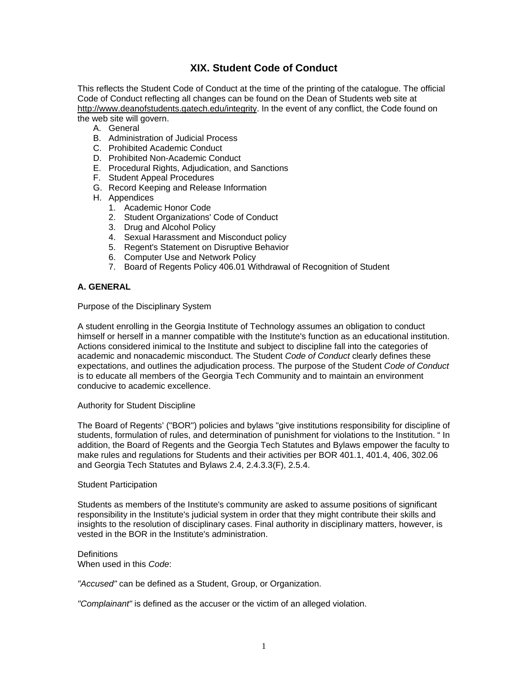# **XIX. Student Code of Conduct**

This reflects the Student Code of Conduct at the time of the printing of the catalogue. The official Code of Conduct reflecting all changes can be found on the Dean of Students web site at http://www.deanofstudents.gatech.edu/integrity. In the event of any conflict, the Code found on the web site will govern.

- A. General
- B. Administration of Judicial Process
- C. Prohibited Academic Conduct
- D. Prohibited Non-Academic Conduct
- E. Procedural Rights, Adjudication, and Sanctions
- F. Student Appeal Procedures
- G. Record Keeping and Release Information
- H. Appendices
	- 1. Academic Honor Code
	- 2. Student Organizations' Code of Conduct
	- 3. Drug and Alcohol Policy
	- 4. Sexual Harassment and Misconduct policy
	- 5. Regent's Statement on Disruptive Behavior
	- 6. Computer Use and Network Policy
	- 7. Board of Regents Policy 406.01 Withdrawal of Recognition of Student

# **A. GENERAL**

Purpose of the Disciplinary System

A student enrolling in the Georgia Institute of Technology assumes an obligation to conduct himself or herself in a manner compatible with the Institute's function as an educational institution. Actions considered inimical to the Institute and subject to discipline fall into the categories of academic and nonacademic misconduct. The Student *Code of Conduct* clearly defines these expectations, and outlines the adjudication process. The purpose of the Student *Code of Conduct* is to educate all members of the Georgia Tech Community and to maintain an environment conducive to academic excellence.

### Authority for Student Discipline

The Board of Regents' ("BOR") policies and bylaws "give institutions responsibility for discipline of students, formulation of rules, and determination of punishment for violations to the Institution. " In addition, the Board of Regents and the Georgia Tech Statutes and Bylaws empower the faculty to make rules and regulations for Students and their activities per BOR 401.1, 401.4, 406, 302.06 and Georgia Tech Statutes and Bylaws 2.4, 2.4.3.3(F), 2.5.4.

#### Student Participation

Students as members of the Institute's community are asked to assume positions of significant responsibility in the Institute's judicial system in order that they might contribute their skills and insights to the resolution of disciplinary cases. Final authority in disciplinary matters, however, is vested in the BOR in the Institute's administration.

#### **Definitions** When used in this *Code*:

*"Accused"* can be defined as a Student, Group, or Organization.

*"Complainant"* is defined as the accuser or the victim of an alleged violation.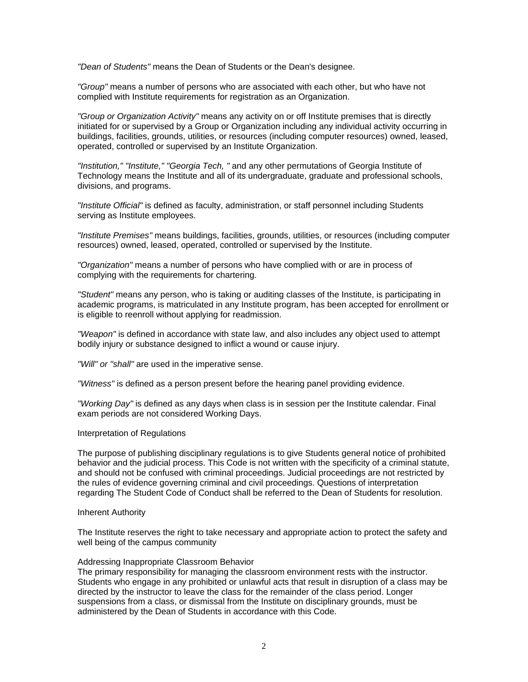*"Dean of Students"* means the Dean of Students or the Dean's designee.

*"Group"* means a number of persons who are associated with each other, but who have not complied with Institute requirements for registration as an Organization.

*"Group or Organization Activity"* means any activity on or off Institute premises that is directly initiated for or supervised by a Group or Organization including any individual activity occurring in buildings, facilities, grounds, utilities, or resources (including computer resources) owned, leased, operated, controlled or supervised by an Institute Organization.

*"Institution," "Institute," "Georgia Tech, "* and any other permutations of Georgia Institute of Technology means the Institute and all of its undergraduate, graduate and professional schools, divisions, and programs.

*"Institute Official"* is defined as faculty, administration, or staff personnel including Students serving as Institute employees.

*"Institute Premises"* means buildings, facilities, grounds, utilities, or resources (including computer resources) owned, leased, operated, controlled or supervised by the Institute.

*"Organization"* means a number of persons who have complied with or are in process of complying with the requirements for chartering.

*"Student"* means any person, who is taking or auditing classes of the Institute, is participating in academic programs, is matriculated in any Institute program, has been accepted for enrollment or is eligible to reenroll without applying for readmission.

*"Weapon"* is defined in accordance with state law, and also includes any object used to attempt bodily injury or substance designed to inflict a wound or cause injury.

*"Will" or "shall"* are used in the imperative sense.

*"Witness"* is defined as a person present before the hearing panel providing evidence.

*"Working Day"* is defined as any days when class is in session per the Institute calendar. Final exam periods are not considered Working Days.

#### Interpretation of Regulations

The purpose of publishing disciplinary regulations is to give Students general notice of prohibited behavior and the judicial process. This Code is not written with the specificity of a criminal statute, and should not be confused with criminal proceedings. Judicial proceedings are not restricted by the rules of evidence governing criminal and civil proceedings. Questions of interpretation regarding The Student Code of Conduct shall be referred to the Dean of Students for resolution.

#### Inherent Authority

The Institute reserves the right to take necessary and appropriate action to protect the safety and well being of the campus community

#### Addressing Inappropriate Classroom Behavior

The primary responsibility for managing the classroom environment rests with the instructor. Students who engage in any prohibited or unlawful acts that result in disruption of a class may be directed by the instructor to leave the class for the remainder of the class period. Longer suspensions from a class, or dismissal from the Institute on disciplinary grounds, must be administered by the Dean of Students in accordance with this Code.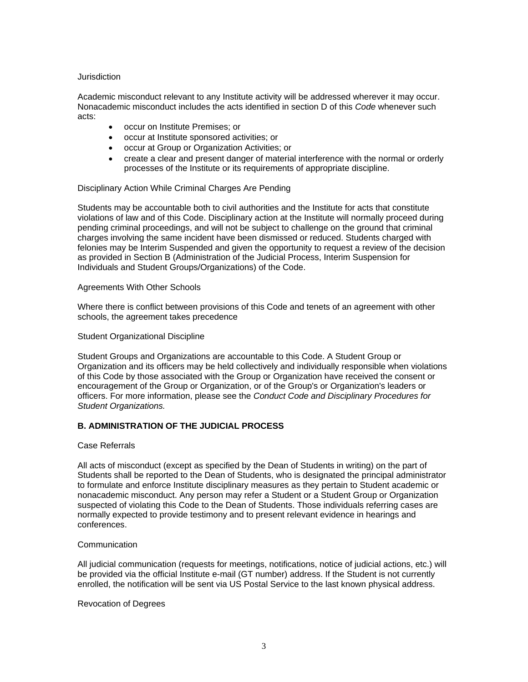### **Jurisdiction**

Academic misconduct relevant to any Institute activity will be addressed wherever it may occur. Nonacademic misconduct includes the acts identified in section D of this *Code* whenever such acts:

- occur on Institute Premises; or
- occur at Institute sponsored activities; or
- occur at Group or Organization Activities; or
- create a clear and present danger of material interference with the normal or orderly processes of the Institute or its requirements of appropriate discipline.

### Disciplinary Action While Criminal Charges Are Pending

Students may be accountable both to civil authorities and the Institute for acts that constitute violations of law and of this Code. Disciplinary action at the Institute will normally proceed during pending criminal proceedings, and will not be subject to challenge on the ground that criminal charges involving the same incident have been dismissed or reduced. Students charged with felonies may be Interim Suspended and given the opportunity to request a review of the decision as provided in Section B (Administration of the Judicial Process, Interim Suspension for Individuals and Student Groups/Organizations) of the Code.

### Agreements With Other Schools

Where there is conflict between provisions of this Code and tenets of an agreement with other schools, the agreement takes precedence

### Student Organizational Discipline

Student Groups and Organizations are accountable to this Code. A Student Group or Organization and its officers may be held collectively and individually responsible when violations of this Code by those associated with the Group or Organization have received the consent or encouragement of the Group or Organization, or of the Group's or Organization's leaders or officers. For more information, please see the *Conduct Code and Disciplinary Procedures for Student Organizations.*

# **B. ADMINISTRATION OF THE JUDICIAL PROCESS**

### Case Referrals

All acts of misconduct (except as specified by the Dean of Students in writing) on the part of Students shall be reported to the Dean of Students, who is designated the principal administrator to formulate and enforce Institute disciplinary measures as they pertain to Student academic or nonacademic misconduct. Any person may refer a Student or a Student Group or Organization suspected of violating this Code to the Dean of Students. Those individuals referring cases are normally expected to provide testimony and to present relevant evidence in hearings and conferences.

### **Communication**

All judicial communication (requests for meetings, notifications, notice of judicial actions, etc.) will be provided via the official Institute e-mail (GT number) address. If the Student is not currently enrolled, the notification will be sent via US Postal Service to the last known physical address.

### Revocation of Degrees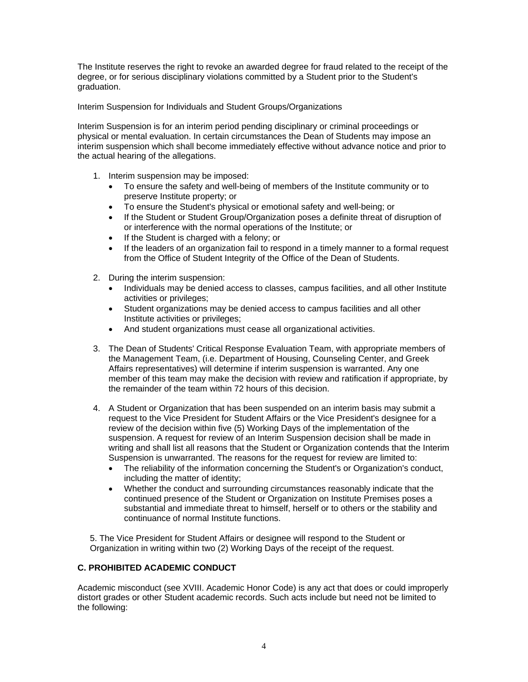The Institute reserves the right to revoke an awarded degree for fraud related to the receipt of the degree, or for serious disciplinary violations committed by a Student prior to the Student's graduation.

Interim Suspension for Individuals and Student Groups/Organizations

Interim Suspension is for an interim period pending disciplinary or criminal proceedings or physical or mental evaluation. In certain circumstances the Dean of Students may impose an interim suspension which shall become immediately effective without advance notice and prior to the actual hearing of the allegations.

- 1. Interim suspension may be imposed:
	- To ensure the safety and well-being of members of the Institute community or to preserve Institute property; or
	- To ensure the Student's physical or emotional safety and well-being; or
	- If the Student or Student Group/Organization poses a definite threat of disruption of or interference with the normal operations of the Institute; or
	- If the Student is charged with a felony; or
	- If the leaders of an organization fail to respond in a timely manner to a formal request from the Office of Student Integrity of the Office of the Dean of Students.
- 2. During the interim suspension:
	- Individuals may be denied access to classes, campus facilities, and all other Institute activities or privileges;
	- Student organizations may be denied access to campus facilities and all other Institute activities or privileges;
	- And student organizations must cease all organizational activities.
- 3. The Dean of Students' Critical Response Evaluation Team, with appropriate members of the Management Team, (i.e. Department of Housing, Counseling Center, and Greek Affairs representatives) will determine if interim suspension is warranted. Any one member of this team may make the decision with review and ratification if appropriate, by the remainder of the team within 72 hours of this decision.
- 4. A Student or Organization that has been suspended on an interim basis may submit a request to the Vice President for Student Affairs or the Vice President's designee for a review of the decision within five (5) Working Days of the implementation of the suspension. A request for review of an Interim Suspension decision shall be made in writing and shall list all reasons that the Student or Organization contends that the Interim Suspension is unwarranted. The reasons for the request for review are limited to:
	- The reliability of the information concerning the Student's or Organization's conduct, including the matter of identity;
	- Whether the conduct and surrounding circumstances reasonably indicate that the continued presence of the Student or Organization on Institute Premises poses a substantial and immediate threat to himself, herself or to others or the stability and continuance of normal Institute functions.

5. The Vice President for Student Affairs or designee will respond to the Student or Organization in writing within two (2) Working Days of the receipt of the request.

# **C. PROHIBITED ACADEMIC CONDUCT**

Academic misconduct (see XVIII. Academic Honor Code) is any act that does or could improperly distort grades or other Student academic records. Such acts include but need not be limited to the following: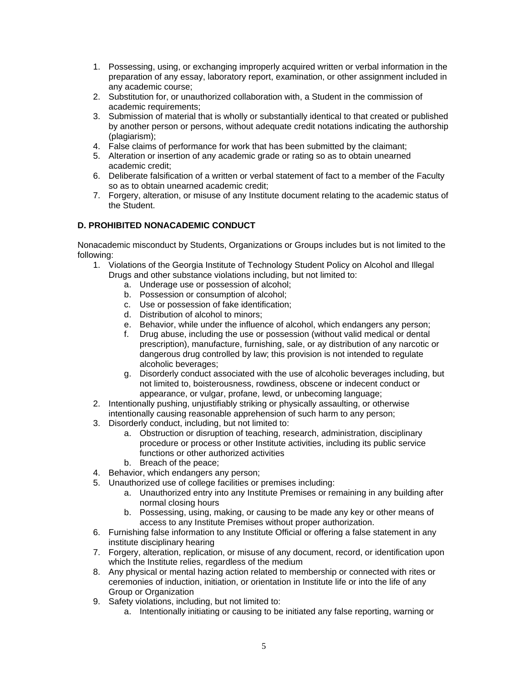- 1. Possessing, using, or exchanging improperly acquired written or verbal information in the preparation of any essay, laboratory report, examination, or other assignment included in any academic course;
- 2. Substitution for, or unauthorized collaboration with, a Student in the commission of academic requirements;
- 3. Submission of material that is wholly or substantially identical to that created or published by another person or persons, without adequate credit notations indicating the authorship (plagiarism);
- 4. False claims of performance for work that has been submitted by the claimant;
- 5. Alteration or insertion of any academic grade or rating so as to obtain unearned academic credit;
- 6. Deliberate falsification of a written or verbal statement of fact to a member of the Faculty so as to obtain unearned academic credit;
- 7. Forgery, alteration, or misuse of any Institute document relating to the academic status of the Student.

# **D. PROHIBITED NONACADEMIC CONDUCT**

Nonacademic misconduct by Students, Organizations or Groups includes but is not limited to the following:

- 1. Violations of the Georgia Institute of Technology Student Policy on Alcohol and Illegal Drugs and other substance violations including, but not limited to:
	- a. Underage use or possession of alcohol;
	- b. Possession or consumption of alcohol;
	- c. Use or possession of fake identification;
	- d. Distribution of alcohol to minors;
	- e. Behavior, while under the influence of alcohol, which endangers any person;
	- f. Drug abuse, including the use or possession (without valid medical or dental prescription), manufacture, furnishing, sale, or ay distribution of any narcotic or dangerous drug controlled by law; this provision is not intended to regulate alcoholic beverages;
	- g. Disorderly conduct associated with the use of alcoholic beverages including, but not limited to, boisterousness, rowdiness, obscene or indecent conduct or appearance, or vulgar, profane, lewd, or unbecoming language;
- 2. Intentionally pushing, unjustifiably striking or physically assaulting, or otherwise intentionally causing reasonable apprehension of such harm to any person;
- 3. Disorderly conduct, including, but not limited to:
	- a. Obstruction or disruption of teaching, research, administration, disciplinary procedure or process or other Institute activities, including its public service functions or other authorized activities
	- b. Breach of the peace;
- 4. Behavior, which endangers any person;
- 5. Unauthorized use of college facilities or premises including:
	- a. Unauthorized entry into any Institute Premises or remaining in any building after normal closing hours
	- b. Possessing, using, making, or causing to be made any key or other means of access to any Institute Premises without proper authorization.
- 6. Furnishing false information to any Institute Official or offering a false statement in any institute disciplinary hearing
- 7. Forgery, alteration, replication, or misuse of any document, record, or identification upon which the Institute relies, regardless of the medium
- 8. Any physical or mental hazing action related to membership or connected with rites or ceremonies of induction, initiation, or orientation in Institute life or into the life of any Group or Organization
- 9. Safety violations, including, but not limited to:
	- a. Intentionally initiating or causing to be initiated any false reporting, warning or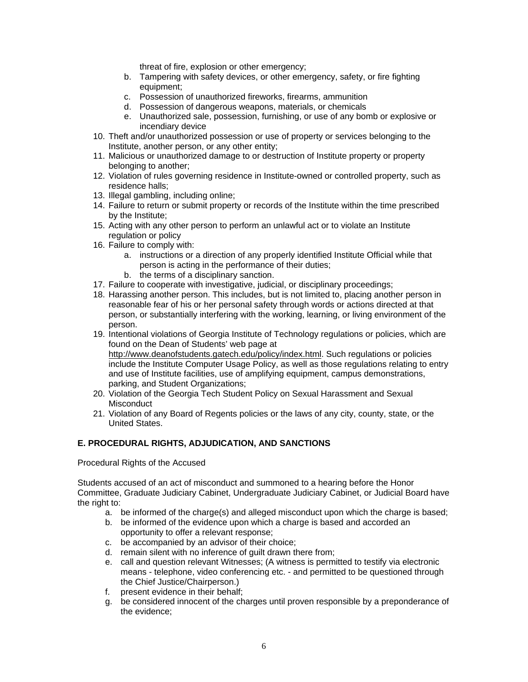threat of fire, explosion or other emergency;

- b. Tampering with safety devices, or other emergency, safety, or fire fighting equipment;
- c. Possession of unauthorized fireworks, firearms, ammunition
- d. Possession of dangerous weapons, materials, or chemicals
- e. Unauthorized sale, possession, furnishing, or use of any bomb or explosive or incendiary device
- 10. Theft and/or unauthorized possession or use of property or services belonging to the Institute, another person, or any other entity;
- 11. Malicious or unauthorized damage to or destruction of Institute property or property belonging to another;
- 12. Violation of rules governing residence in Institute-owned or controlled property, such as residence halls;
- 13. Illegal gambling, including online;
- 14. Failure to return or submit property or records of the Institute within the time prescribed by the Institute;
- 15. Acting with any other person to perform an unlawful act or to violate an Institute regulation or policy
- 16. Failure to comply with:
	- a. instructions or a direction of any properly identified Institute Official while that person is acting in the performance of their duties;
	- b. the terms of a disciplinary sanction.
- 17. Failure to cooperate with investigative, judicial, or disciplinary proceedings;
- 18. Harassing another person. This includes, but is not limited to, placing another person in reasonable fear of his or her personal safety through words or actions directed at that person, or substantially interfering with the working, learning, or living environment of the person.
- 19. Intentional violations of Georgia Institute of Technology regulations or policies, which are found on the Dean of Students' web page at http://www.deanofstudents.gatech.edu/policy/index.html. Such regulations or policies include the Institute Computer Usage Policy, as well as those regulations relating to entry and use of Institute facilities, use of amplifying equipment, campus demonstrations, parking, and Student Organizations;
- 20. Violation of the Georgia Tech Student Policy on Sexual Harassment and Sexual **Misconduct**
- 21. Violation of any Board of Regents policies or the laws of any city, county, state, or the United States.

# **E. PROCEDURAL RIGHTS, ADJUDICATION, AND SANCTIONS**

Procedural Rights of the Accused

Students accused of an act of misconduct and summoned to a hearing before the Honor Committee, Graduate Judiciary Cabinet, Undergraduate Judiciary Cabinet, or Judicial Board have the right to:

- a. be informed of the charge(s) and alleged misconduct upon which the charge is based;
- b. be informed of the evidence upon which a charge is based and accorded an opportunity to offer a relevant response;
- c. be accompanied by an advisor of their choice;
- d. remain silent with no inference of guilt drawn there from;
- e. call and question relevant Witnesses; (A witness is permitted to testify via electronic means - telephone, video conferencing etc. - and permitted to be questioned through the Chief Justice/Chairperson.)
- f. present evidence in their behalf;
- g. be considered innocent of the charges until proven responsible by a preponderance of the evidence;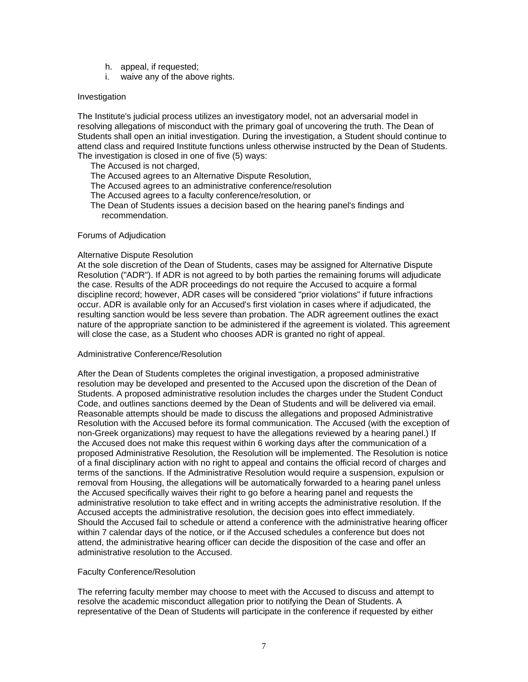- h. appeal, if requested;
- i. waive any of the above rights.

### Investigation

The Institute's judicial process utilizes an investigatory model, not an adversarial model in resolving allegations of misconduct with the primary goal of uncovering the truth. The Dean of Students shall open an initial investigation. During the investigation, a Student should continue to attend class and required Institute functions unless otherwise instructed by the Dean of Students. The investigation is closed in one of five (5) ways:

The Accused is not charged,

The Accused agrees to an Alternative Dispute Resolution,

- The Accused agrees to an administrative conference/resolution
- The Accused agrees to a faculty conference/resolution, or

The Dean of Students issues a decision based on the hearing panel's findings and recommendation.

#### Forums of Adjudication

#### Alternative Dispute Resolution

At the sole discretion of the Dean of Students, cases may be assigned for Alternative Dispute Resolution ("ADR"). If ADR is not agreed to by both parties the remaining forums will adjudicate the case. Results of the ADR proceedings do not require the Accused to acquire a formal discipline record; however, ADR cases will be considered "prior violations" if future infractions occur. ADR is available only for an Accused's first violation in cases where if adjudicated, the resulting sanction would be less severe than probation. The ADR agreement outlines the exact nature of the appropriate sanction to be administered if the agreement is violated. This agreement will close the case, as a Student who chooses ADR is granted no right of appeal.

#### Administrative Conference/Resolution

After the Dean of Students completes the original investigation, a proposed administrative resolution may be developed and presented to the Accused upon the discretion of the Dean of Students. A proposed administrative resolution includes the charges under the Student Conduct Code, and outlines sanctions deemed by the Dean of Students and will be delivered via email. Reasonable attempts should be made to discuss the allegations and proposed Administrative Resolution with the Accused before its formal communication. The Accused (with the exception of non-Greek organizations) may request to have the allegations reviewed by a hearing panel.) If the Accused does not make this request within 6 working days after the communication of a proposed Administrative Resolution, the Resolution will be implemented. The Resolution is notice of a final disciplinary action with no right to appeal and contains the official record of charges and terms of the sanctions. If the Administrative Resolution would require a suspension, expulsion or removal from Housing, the allegations will be automatically forwarded to a hearing panel unless the Accused specifically waives their right to go before a hearing panel and requests the administrative resolution to take effect and in writing accepts the administrative resolution. If the Accused accepts the administrative resolution, the decision goes into effect immediately. Should the Accused fail to schedule or attend a conference with the administrative hearing officer within 7 calendar days of the notice, or if the Accused schedules a conference but does not attend, the administrative hearing officer can decide the disposition of the case and offer an administrative resolution to the Accused.

#### Faculty Conference/Resolution

The referring faculty member may choose to meet with the Accused to discuss and attempt to resolve the academic misconduct allegation prior to notifying the Dean of Students. A representative of the Dean of Students will participate in the conference if requested by either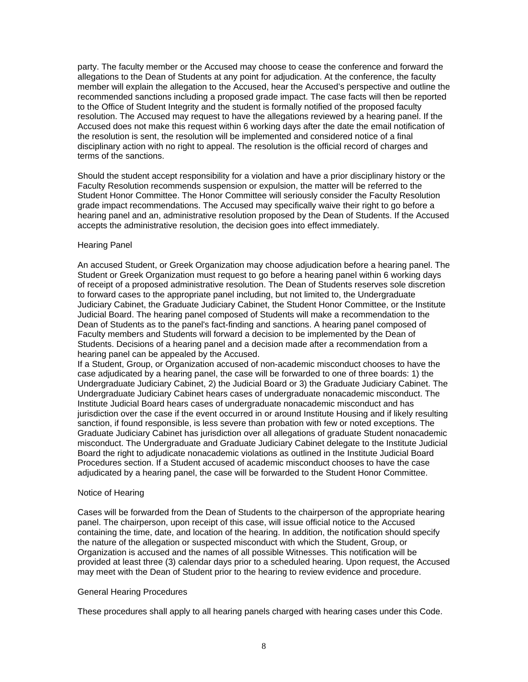party. The faculty member or the Accused may choose to cease the conference and forward the allegations to the Dean of Students at any point for adjudication. At the conference, the faculty member will explain the allegation to the Accused, hear the Accused's perspective and outline the recommended sanctions including a proposed grade impact. The case facts will then be reported to the Office of Student Integrity and the student is formally notified of the proposed faculty resolution. The Accused may request to have the allegations reviewed by a hearing panel. If the Accused does not make this request within 6 working days after the date the email notification of the resolution is sent, the resolution will be implemented and considered notice of a final disciplinary action with no right to appeal. The resolution is the official record of charges and terms of the sanctions.

Should the student accept responsibility for a violation and have a prior disciplinary history or the Faculty Resolution recommends suspension or expulsion, the matter will be referred to the Student Honor Committee. The Honor Committee will seriously consider the Faculty Resolution grade impact recommendations. The Accused may specifically waive their right to go before a hearing panel and an, administrative resolution proposed by the Dean of Students. If the Accused accepts the administrative resolution, the decision goes into effect immediately.

### Hearing Panel

An accused Student, or Greek Organization may choose adjudication before a hearing panel. The Student or Greek Organization must request to go before a hearing panel within 6 working days of receipt of a proposed administrative resolution. The Dean of Students reserves sole discretion to forward cases to the appropriate panel including, but not limited to, the Undergraduate Judiciary Cabinet, the Graduate Judiciary Cabinet, the Student Honor Committee, or the Institute Judicial Board. The hearing panel composed of Students will make a recommendation to the Dean of Students as to the panel's fact-finding and sanctions. A hearing panel composed of Faculty members and Students will forward a decision to be implemented by the Dean of Students. Decisions of a hearing panel and a decision made after a recommendation from a hearing panel can be appealed by the Accused.

If a Student, Group, or Organization accused of non-academic misconduct chooses to have the case adjudicated by a hearing panel, the case will be forwarded to one of three boards: 1) the Undergraduate Judiciary Cabinet, 2) the Judicial Board or 3) the Graduate Judiciary Cabinet. The Undergraduate Judiciary Cabinet hears cases of undergraduate nonacademic misconduct. The Institute Judicial Board hears cases of undergraduate nonacademic misconduct and has jurisdiction over the case if the event occurred in or around Institute Housing and if likely resulting sanction, if found responsible, is less severe than probation with few or noted exceptions. The Graduate Judiciary Cabinet has jurisdiction over all allegations of graduate Student nonacademic misconduct. The Undergraduate and Graduate Judiciary Cabinet delegate to the Institute Judicial Board the right to adjudicate nonacademic violations as outlined in the Institute Judicial Board Procedures section. If a Student accused of academic misconduct chooses to have the case adjudicated by a hearing panel, the case will be forwarded to the Student Honor Committee.

#### Notice of Hearing

Cases will be forwarded from the Dean of Students to the chairperson of the appropriate hearing panel. The chairperson, upon receipt of this case, will issue official notice to the Accused containing the time, date, and location of the hearing. In addition, the notification should specify the nature of the allegation or suspected misconduct with which the Student, Group, or Organization is accused and the names of all possible Witnesses. This notification will be provided at least three (3) calendar days prior to a scheduled hearing. Upon request, the Accused may meet with the Dean of Student prior to the hearing to review evidence and procedure.

### General Hearing Procedures

These procedures shall apply to all hearing panels charged with hearing cases under this Code.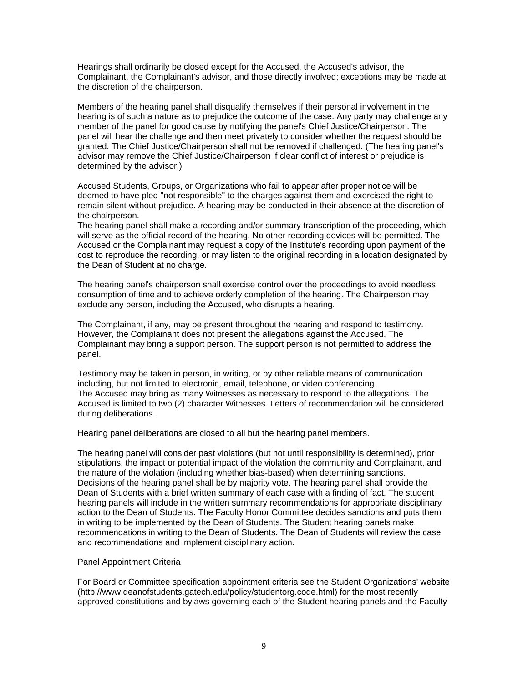Hearings shall ordinarily be closed except for the Accused, the Accused's advisor, the Complainant, the Complainant's advisor, and those directly involved; exceptions may be made at the discretion of the chairperson.

Members of the hearing panel shall disqualify themselves if their personal involvement in the hearing is of such a nature as to prejudice the outcome of the case. Any party may challenge any member of the panel for good cause by notifying the panel's Chief Justice/Chairperson. The panel will hear the challenge and then meet privately to consider whether the request should be granted. The Chief Justice/Chairperson shall not be removed if challenged. (The hearing panel's advisor may remove the Chief Justice/Chairperson if clear conflict of interest or prejudice is determined by the advisor.)

Accused Students, Groups, or Organizations who fail to appear after proper notice will be deemed to have pled "not responsible" to the charges against them and exercised the right to remain silent without prejudice. A hearing may be conducted in their absence at the discretion of the chairperson.

The hearing panel shall make a recording and/or summary transcription of the proceeding, which will serve as the official record of the hearing. No other recording devices will be permitted. The Accused or the Complainant may request a copy of the Institute's recording upon payment of the cost to reproduce the recording, or may listen to the original recording in a location designated by the Dean of Student at no charge.

The hearing panel's chairperson shall exercise control over the proceedings to avoid needless consumption of time and to achieve orderly completion of the hearing. The Chairperson may exclude any person, including the Accused, who disrupts a hearing.

The Complainant, if any, may be present throughout the hearing and respond to testimony. However, the Complainant does not present the allegations against the Accused. The Complainant may bring a support person. The support person is not permitted to address the panel.

Testimony may be taken in person, in writing, or by other reliable means of communication including, but not limited to electronic, email, telephone, or video conferencing. The Accused may bring as many Witnesses as necessary to respond to the allegations. The Accused is limited to two (2) character Witnesses. Letters of recommendation will be considered during deliberations.

Hearing panel deliberations are closed to all but the hearing panel members.

The hearing panel will consider past violations (but not until responsibility is determined), prior stipulations, the impact or potential impact of the violation the community and Complainant, and the nature of the violation (including whether bias-based) when determining sanctions. Decisions of the hearing panel shall be by majority vote. The hearing panel shall provide the Dean of Students with a brief written summary of each case with a finding of fact. The student hearing panels will include in the written summary recommendations for appropriate disciplinary action to the Dean of Students. The Faculty Honor Committee decides sanctions and puts them in writing to be implemented by the Dean of Students. The Student hearing panels make recommendations in writing to the Dean of Students. The Dean of Students will review the case and recommendations and implement disciplinary action.

### Panel Appointment Criteria

For Board or Committee specification appointment criteria see the Student Organizations' website (http://www.deanofstudents.gatech.edu/policy/studentorg.code.html) for the most recently approved constitutions and bylaws governing each of the Student hearing panels and the Faculty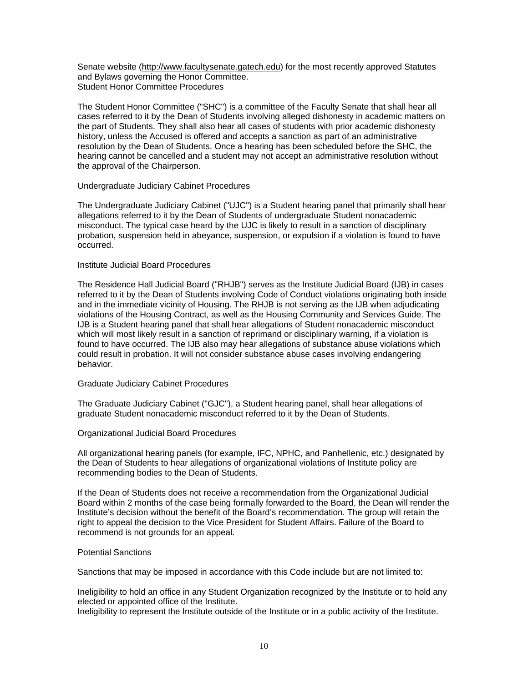Senate website (http://www.facultysenate.gatech.edu) for the most recently approved Statutes and Bylaws governing the Honor Committee. Student Honor Committee Procedures

The Student Honor Committee ("SHC") is a committee of the Faculty Senate that shall hear all cases referred to it by the Dean of Students involving alleged dishonesty in academic matters on the part of Students. They shall also hear all cases of students with prior academic dishonesty history, unless the Accused is offered and accepts a sanction as part of an administrative resolution by the Dean of Students. Once a hearing has been scheduled before the SHC, the hearing cannot be cancelled and a student may not accept an administrative resolution without the approval of the Chairperson.

### Undergraduate Judiciary Cabinet Procedures

The Undergraduate Judiciary Cabinet ("UJC") is a Student hearing panel that primarily shall hear allegations referred to it by the Dean of Students of undergraduate Student nonacademic misconduct. The typical case heard by the UJC is likely to result in a sanction of disciplinary probation, suspension held in abeyance, suspension, or expulsion if a violation is found to have occurred.

# Institute Judicial Board Procedures

The Residence Hall Judicial Board ("RHJB") serves as the Institute Judicial Board (IJB) in cases referred to it by the Dean of Students involving Code of Conduct violations originating both inside and in the immediate vicinity of Housing. The RHJB is not serving as the IJB when adjudicating violations of the Housing Contract, as well as the Housing Community and Services Guide. The IJB is a Student hearing panel that shall hear allegations of Student nonacademic misconduct which will most likely result in a sanction of reprimand or disciplinary warning, if a violation is found to have occurred. The IJB also may hear allegations of substance abuse violations which could result in probation. It will not consider substance abuse cases involving endangering behavior.

### Graduate Judiciary Cabinet Procedures

The Graduate Judiciary Cabinet ("GJC"), a Student hearing panel, shall hear allegations of graduate Student nonacademic misconduct referred to it by the Dean of Students.

#### Organizational Judicial Board Procedures

All organizational hearing panels (for example, IFC, NPHC, and Panhellenic, etc.) designated by the Dean of Students to hear allegations of organizational violations of Institute policy are recommending bodies to the Dean of Students.

If the Dean of Students does not receive a recommendation from the Organizational Judicial Board within 2 months of the case being formally forwarded to the Board, the Dean will render the Institute's decision without the benefit of the Board's recommendation. The group will retain the right to appeal the decision to the Vice President for Student Affairs. Failure of the Board to recommend is not grounds for an appeal.

### Potential Sanctions

Sanctions that may be imposed in accordance with this Code include but are not limited to:

Ineligibility to hold an office in any Student Organization recognized by the Institute or to hold any elected or appointed office of the Institute.

Ineligibility to represent the Institute outside of the Institute or in a public activity of the Institute.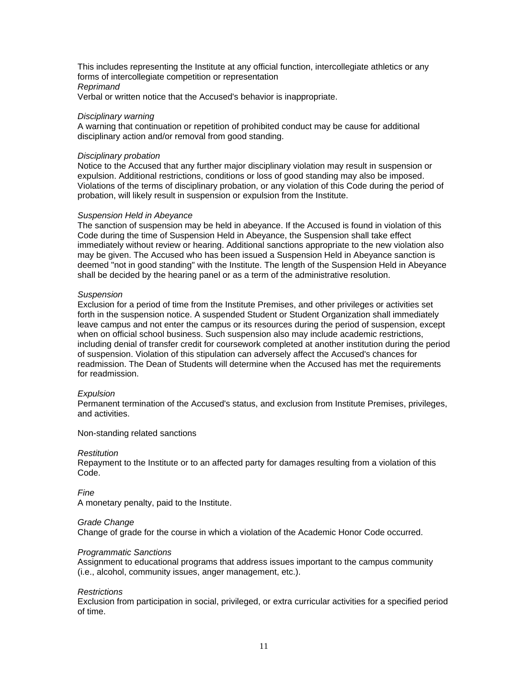This includes representing the Institute at any official function, intercollegiate athletics or any forms of intercollegiate competition or representation *Reprimand*  Verbal or written notice that the Accused's behavior is inappropriate.

### *Disciplinary warning*

A warning that continuation or repetition of prohibited conduct may be cause for additional disciplinary action and/or removal from good standing.

### *Disciplinary probation*

Notice to the Accused that any further major disciplinary violation may result in suspension or expulsion. Additional restrictions, conditions or loss of good standing may also be imposed. Violations of the terms of disciplinary probation, or any violation of this Code during the period of probation, will likely result in suspension or expulsion from the Institute.

### *Suspension Held in Abeyance*

The sanction of suspension may be held in abeyance. If the Accused is found in violation of this Code during the time of Suspension Held in Abeyance, the Suspension shall take effect immediately without review or hearing. Additional sanctions appropriate to the new violation also may be given. The Accused who has been issued a Suspension Held in Abeyance sanction is deemed "not in good standing" with the Institute. The length of the Suspension Held in Abeyance shall be decided by the hearing panel or as a term of the administrative resolution.

### *Suspension*

Exclusion for a period of time from the Institute Premises, and other privileges or activities set forth in the suspension notice. A suspended Student or Student Organization shall immediately leave campus and not enter the campus or its resources during the period of suspension, except when on official school business. Such suspension also may include academic restrictions, including denial of transfer credit for coursework completed at another institution during the period of suspension. Violation of this stipulation can adversely affect the Accused's chances for readmission. The Dean of Students will determine when the Accused has met the requirements for readmission.

#### *Expulsion*

Permanent termination of the Accused's status, and exclusion from Institute Premises, privileges, and activities.

Non-standing related sanctions

#### *Restitution*

Repayment to the Institute or to an affected party for damages resulting from a violation of this Code.

*Fine*

A monetary penalty, paid to the Institute.

### *Grade Change*

Change of grade for the course in which a violation of the Academic Honor Code occurred.

### *Programmatic Sanctions*

Assignment to educational programs that address issues important to the campus community (i.e., alcohol, community issues, anger management, etc.).

### *Restrictions*

Exclusion from participation in social, privileged, or extra curricular activities for a specified period of time.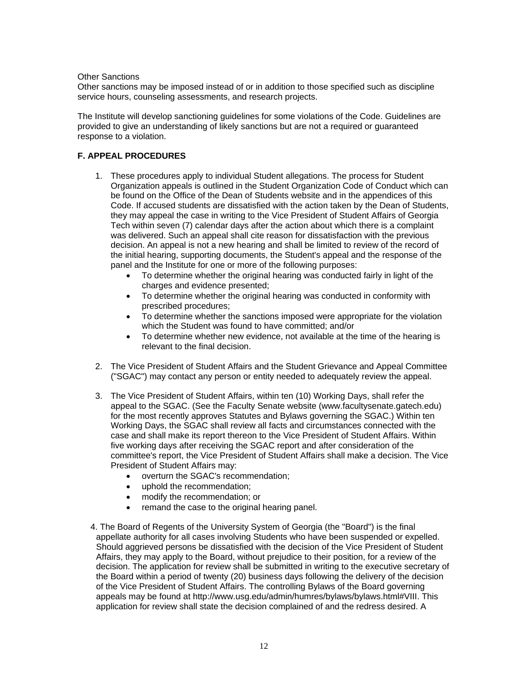Other Sanctions

Other sanctions may be imposed instead of or in addition to those specified such as discipline service hours, counseling assessments, and research projects.

The Institute will develop sanctioning guidelines for some violations of the Code. Guidelines are provided to give an understanding of likely sanctions but are not a required or guaranteed response to a violation.

# **F. APPEAL PROCEDURES**

- 1. These procedures apply to individual Student allegations. The process for Student Organization appeals is outlined in the Student Organization Code of Conduct which can be found on the Office of the Dean of Students website and in the appendices of this Code. If accused students are dissatisfied with the action taken by the Dean of Students, they may appeal the case in writing to the Vice President of Student Affairs of Georgia Tech within seven (7) calendar days after the action about which there is a complaint was delivered. Such an appeal shall cite reason for dissatisfaction with the previous decision. An appeal is not a new hearing and shall be limited to review of the record of the initial hearing, supporting documents, the Student's appeal and the response of the panel and the Institute for one or more of the following purposes:
	- To determine whether the original hearing was conducted fairly in light of the charges and evidence presented;
	- To determine whether the original hearing was conducted in conformity with prescribed procedures;
	- To determine whether the sanctions imposed were appropriate for the violation which the Student was found to have committed; and/or
	- To determine whether new evidence, not available at the time of the hearing is relevant to the final decision.
- 2. The Vice President of Student Affairs and the Student Grievance and Appeal Committee ("SGAC") may contact any person or entity needed to adequately review the appeal.
- 3. The Vice President of Student Affairs, within ten (10) Working Days, shall refer the appeal to the SGAC. (See the Faculty Senate website (www.facultysenate.gatech.edu) for the most recently approves Statutes and Bylaws governing the SGAC.) Within ten Working Days, the SGAC shall review all facts and circumstances connected with the case and shall make its report thereon to the Vice President of Student Affairs. Within five working days after receiving the SGAC report and after consideration of the committee's report, the Vice President of Student Affairs shall make a decision. The Vice President of Student Affairs may:
	- overturn the SGAC's recommendation;
	- uphold the recommendation;
	- modify the recommendation; or
	- remand the case to the original hearing panel.
- 4. The Board of Regents of the University System of Georgia (the "Board") is the final appellate authority for all cases involving Students who have been suspended or expelled. Should aggrieved persons be dissatisfied with the decision of the Vice President of Student Affairs, they may apply to the Board, without prejudice to their position, for a review of the decision. The application for review shall be submitted in writing to the executive secretary of the Board within a period of twenty (20) business days following the delivery of the decision of the Vice President of Student Affairs. The controlling Bylaws of the Board governing appeals may be found at http://www.usg.edu/admin/humres/bylaws/bylaws.html#VIII. This application for review shall state the decision complained of and the redress desired. A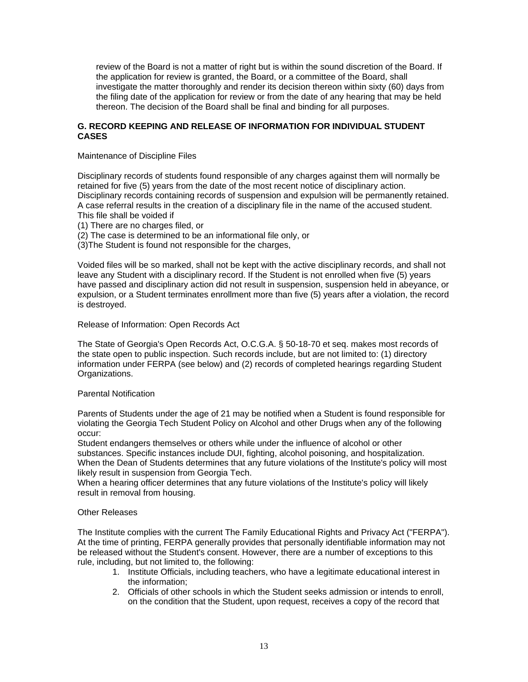review of the Board is not a matter of right but is within the sound discretion of the Board. If the application for review is granted, the Board, or a committee of the Board, shall investigate the matter thoroughly and render its decision thereon within sixty (60) days from the filing date of the application for review or from the date of any hearing that may be held thereon. The decision of the Board shall be final and binding for all purposes.

# **G. RECORD KEEPING AND RELEASE OF INFORMATION FOR INDIVIDUAL STUDENT CASES**

Maintenance of Discipline Files

Disciplinary records of students found responsible of any charges against them will normally be retained for five (5) years from the date of the most recent notice of disciplinary action. Disciplinary records containing records of suspension and expulsion will be permanently retained. A case referral results in the creation of a disciplinary file in the name of the accused student. This file shall be voided if

- (1) There are no charges filed, or
- (2) The case is determined to be an informational file only, or
- (3)The Student is found not responsible for the charges,

Voided files will be so marked, shall not be kept with the active disciplinary records, and shall not leave any Student with a disciplinary record. If the Student is not enrolled when five (5) years have passed and disciplinary action did not result in suspension, suspension held in abeyance, or expulsion, or a Student terminates enrollment more than five (5) years after a violation, the record is destroyed.

### Release of Information: Open Records Act

The State of Georgia's Open Records Act, O.C.G.A. § 50-18-70 et seq. makes most records of the state open to public inspection. Such records include, but are not limited to: (1) directory information under FERPA (see below) and (2) records of completed hearings regarding Student Organizations.

### Parental Notification

Parents of Students under the age of 21 may be notified when a Student is found responsible for violating the Georgia Tech Student Policy on Alcohol and other Drugs when any of the following occur:

Student endangers themselves or others while under the influence of alcohol or other substances. Specific instances include DUI, fighting, alcohol poisoning, and hospitalization. When the Dean of Students determines that any future violations of the Institute's policy will most likely result in suspension from Georgia Tech.

When a hearing officer determines that any future violations of the Institute's policy will likely result in removal from housing.

## Other Releases

The Institute complies with the current The Family Educational Rights and Privacy Act ("FERPA"). At the time of printing, FERPA generally provides that personally identifiable information may not be released without the Student's consent. However, there are a number of exceptions to this rule, including, but not limited to, the following:

- 1. Institute Officials, including teachers, who have a legitimate educational interest in the information;
- 2. Officials of other schools in which the Student seeks admission or intends to enroll, on the condition that the Student, upon request, receives a copy of the record that